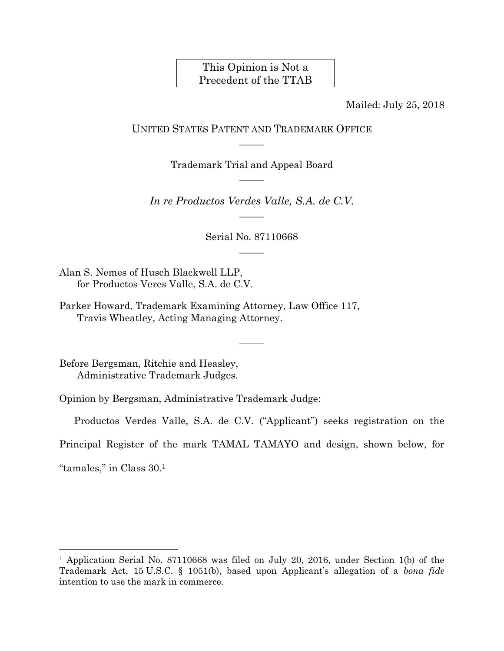## This Opinion is Not a Precedent of the TTAB

Mailed: July 25, 2018

UNITED STATES PATENT AND TRADEMARK OFFICE  $\overline{\phantom{a}}$ 

> Trademark Trial and Appeal Board  $\overline{\phantom{a}}$

*In re Productos Verdes Valle, S.A. de C.V.*   $\overline{\phantom{a}}$ 

> Serial No. 87110668  $\overline{\phantom{a}}$

Alan S. Nemes of Husch Blackwell LLP, for Productos Veres Valle, S.A. de C.V.

Parker Howard, Trademark Examining Attorney, Law Office 117, Travis Wheatley, Acting Managing Attorney.

Before Bergsman, Ritchie and Heasley, Administrative Trademark Judges.

Opinion by Bergsman, Administrative Trademark Judge:

Productos Verdes Valle, S.A. de C.V. ("Applicant") seeks registration on the

 $\overline{\phantom{a}}$ 

Principal Register of the mark TAMAL TAMAYO and design, shown below, for

"tamales," in Class 30.1

l

<sup>&</sup>lt;sup>1</sup> Application Serial No. 87110668 was filed on July 20, 2016, under Section 1(b) of the Trademark Act, 15 U.S.C. § 1051(b), based upon Applicant's allegation of a *bona fide* intention to use the mark in commerce.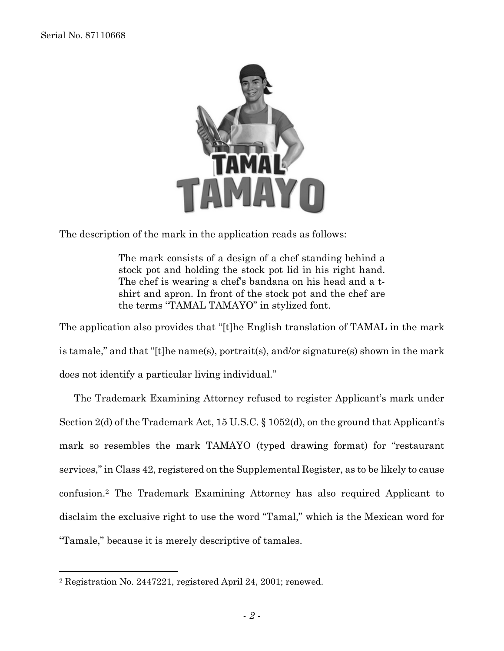$\overline{a}$ 



The description of the mark in the application reads as follows:

The mark consists of a design of a chef standing behind a stock pot and holding the stock pot lid in his right hand. The chef is wearing a chef's bandana on his head and a tshirt and apron. In front of the stock pot and the chef are the terms "TAMAL TAMAYO" in stylized font.

The application also provides that "[t]he English translation of TAMAL in the mark is tamale," and that "[t]he name(s), portrait(s), and/or signature(s) shown in the mark does not identify a particular living individual."

The Trademark Examining Attorney refused to register Applicant's mark under Section 2(d) of the Trademark Act, 15 U.S.C. § 1052(d), on the ground that Applicant's mark so resembles the mark TAMAYO (typed drawing format) for "restaurant services," in Class 42, registered on the Supplemental Register, as to be likely to cause confusion.2 The Trademark Examining Attorney has also required Applicant to disclaim the exclusive right to use the word "Tamal," which is the Mexican word for "Tamale," because it is merely descriptive of tamales.

<sup>2</sup> Registration No. 2447221, registered April 24, 2001; renewed.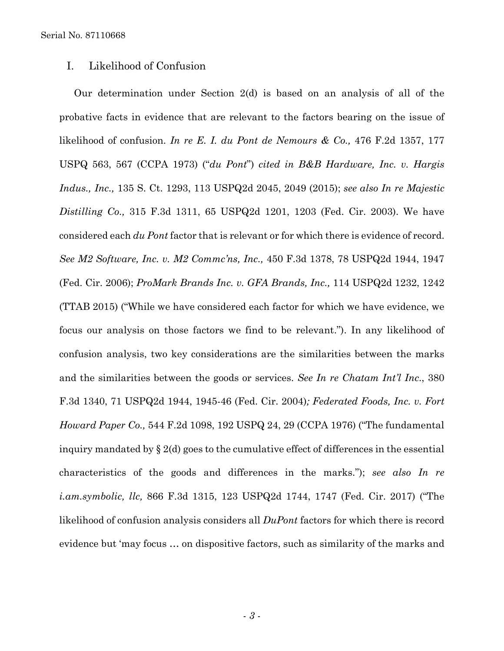## I. Likelihood of Confusion

Our determination under Section 2(d) is based on an analysis of all of the probative facts in evidence that are relevant to the factors bearing on the issue of likelihood of confusion. *In re E. I. du Pont de Nemours & Co.,* 476 F.2d 1357, 177 USPQ 563, 567 (CCPA 1973) ("*du Pont*") *cited in B&B Hardware, Inc. v. Hargis Indus., Inc.,* 135 S. Ct. 1293, 113 USPQ2d 2045, 2049 (2015); *see also In re Majestic Distilling Co.,* 315 F.3d 1311, 65 USPQ2d 1201, 1203 (Fed. Cir. 2003). We have considered each *du Pont* factor that is relevant or for which there is evidence of record. *See M2 Software, Inc. v. M2 Commc'ns, Inc.,* 450 F.3d 1378, 78 USPQ2d 1944, 1947 (Fed. Cir. 2006); *ProMark Brands Inc. v. GFA Brands, Inc.,* 114 USPQ2d 1232, 1242 (TTAB 2015) ("While we have considered each factor for which we have evidence, we focus our analysis on those factors we find to be relevant."). In any likelihood of confusion analysis, two key considerations are the similarities between the marks and the similarities between the goods or services. *See In re Chatam Int'l Inc*., 380 F.3d 1340, 71 USPQ2d 1944, 1945-46 (Fed. Cir. 2004)*; Federated Foods, Inc. v. Fort Howard Paper Co.,* 544 F.2d 1098, 192 USPQ 24, 29 (CCPA 1976) ("The fundamental inquiry mandated by § 2(d) goes to the cumulative effect of differences in the essential characteristics of the goods and differences in the marks."); *see also In re i.am.symbolic, llc,* 866 F.3d 1315, 123 USPQ2d 1744, 1747 (Fed. Cir. 2017) ("The likelihood of confusion analysis considers all *DuPont* factors for which there is record evidence but 'may focus … on dispositive factors, such as similarity of the marks and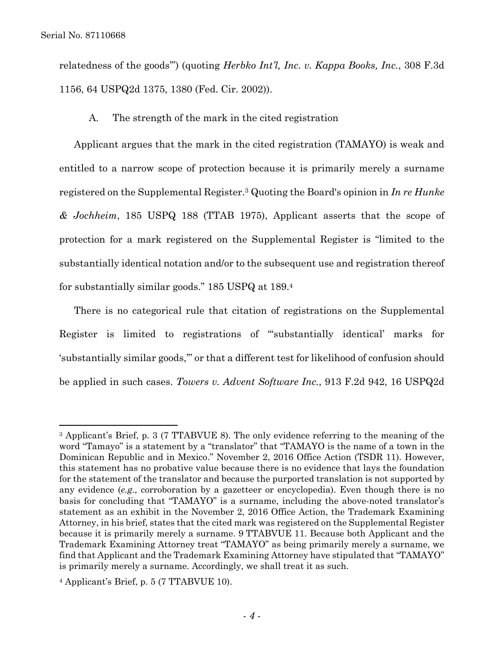$\overline{a}$ 

relatedness of the goods'") (quoting *Herbko Int'l, Inc. v. Kappa Books, Inc.*, 308 F.3d 1156, 64 USPQ2d 1375, 1380 (Fed. Cir. 2002)).

A. The strength of the mark in the cited registration

Applicant argues that the mark in the cited registration (TAMAYO) is weak and entitled to a narrow scope of protection because it is primarily merely a surname registered on the Supplemental Register.3 Quoting the Board's opinion in *In re Hunke & Jochheim*, 185 USPQ 188 (TTAB 1975), Applicant asserts that the scope of protection for a mark registered on the Supplemental Register is "limited to the substantially identical notation and/or to the subsequent use and registration thereof for substantially similar goods." 185 USPQ at 189.4

There is no categorical rule that citation of registrations on the Supplemental Register is limited to registrations of "'substantially identical' marks for 'substantially similar goods,'" or that a different test for likelihood of confusion should be applied in such cases. *Towers v. Advent Software Inc.*, 913 F.2d 942, 16 USPQ2d

<sup>3</sup> Applicant's Brief, p. 3 (7 TTABVUE 8). The only evidence referring to the meaning of the word "Tamayo" is a statement by a "translator" that "TAMAYO is the name of a town in the Dominican Republic and in Mexico." November 2, 2016 Office Action (TSDR 11). However, this statement has no probative value because there is no evidence that lays the foundation for the statement of the translator and because the purported translation is not supported by any evidence (*e.g.,* corroboration by a gazetteer or encyclopedia). Even though there is no basis for concluding that "TAMAYO" is a surname, including the above-noted translator's statement as an exhibit in the November 2, 2016 Office Action, the Trademark Examining Attorney, in his brief, states that the cited mark was registered on the Supplemental Register because it is primarily merely a surname. 9 TTABVUE 11. Because both Applicant and the Trademark Examining Attorney treat "TAMAYO" as being primarily merely a surname, we find that Applicant and the Trademark Examining Attorney have stipulated that "TAMAYO" is primarily merely a surname. Accordingly, we shall treat it as such.

<sup>4</sup> Applicant's Brief, p. 5 (7 TTABVUE 10).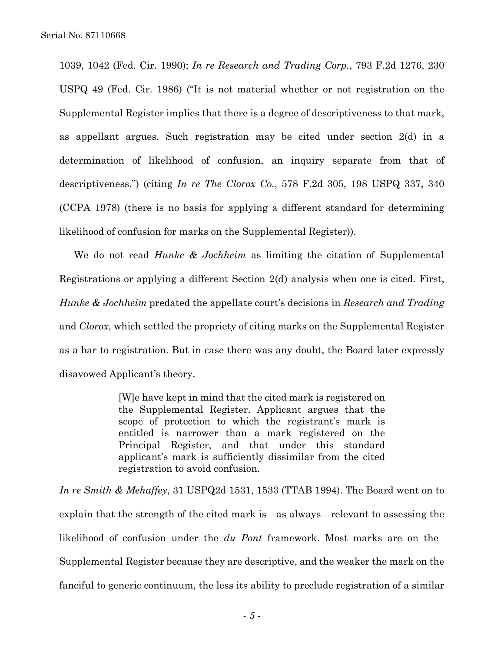1039, 1042 (Fed. Cir. 1990); *In re Research and Trading Corp.*, 793 F.2d 1276, 230 USPQ 49 (Fed. Cir. 1986) ("It is not material whether or not registration on the Supplemental Register implies that there is a degree of descriptiveness to that mark, as appellant argues. Such registration may be cited under section 2(d) in a determination of likelihood of confusion, an inquiry separate from that of descriptiveness.") (citing *In re The Clorox Co.*, 578 F.2d 305, 198 USPQ 337, 340 (CCPA 1978) (there is no basis for applying a different standard for determining likelihood of confusion for marks on the Supplemental Register)).

We do not read *Hunke & Jochheim* as limiting the citation of Supplemental Registrations or applying a different Section 2(d) analysis when one is cited. First, *Hunke & Jochheim* predated the appellate court's decisions in *Research and Trading* and *Clorox*, which settled the propriety of citing marks on the Supplemental Register as a bar to registration. But in case there was any doubt, the Board later expressly disavowed Applicant's theory.

> [W]e have kept in mind that the cited mark is registered on the Supplemental Register. Applicant argues that the scope of protection to which the registrant's mark is entitled is narrower than a mark registered on the Principal Register, and that under this standard applicant's mark is sufficiently dissimilar from the cited registration to avoid confusion.

*In re Smith & Mehaffey*, 31 USPQ2d 1531, 1533 (TTAB 1994). The Board went on to explain that the strength of the cited mark is—as always—relevant to assessing the likelihood of confusion under the *du Pont* framework. Most marks are on the Supplemental Register because they are descriptive, and the weaker the mark on the fanciful to generic continuum, the less its ability to preclude registration of a similar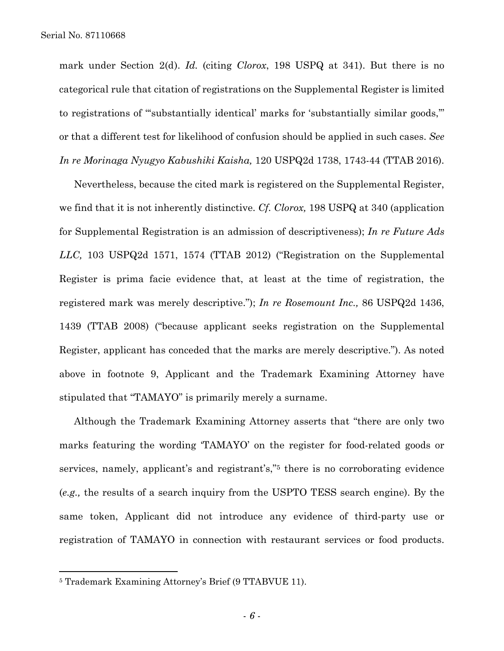mark under Section 2(d). *Id.* (citing *Clorox*, 198 USPQ at 341). But there is no categorical rule that citation of registrations on the Supplemental Register is limited to registrations of "'substantially identical' marks for 'substantially similar goods,'" or that a different test for likelihood of confusion should be applied in such cases. *See In re Morinaga Nyugyo Kabushiki Kaisha,* 120 USPQ2d 1738, 1743-44 (TTAB 2016).

Nevertheless, because the cited mark is registered on the Supplemental Register, we find that it is not inherently distinctive. *Cf. Clorox,* 198 USPQ at 340 (application for Supplemental Registration is an admission of descriptiveness); *In re Future Ads LLC,* 103 USPQ2d 1571, 1574 (TTAB 2012) ("Registration on the Supplemental Register is prima facie evidence that, at least at the time of registration, the registered mark was merely descriptive."); *In re Rosemount Inc.,* 86 USPQ2d 1436, 1439 (TTAB 2008) ("because applicant seeks registration on the Supplemental Register, applicant has conceded that the marks are merely descriptive."). As noted above in footnote 9, Applicant and the Trademark Examining Attorney have stipulated that "TAMAYO" is primarily merely a surname.

Although the Trademark Examining Attorney asserts that "there are only two marks featuring the wording 'TAMAYO' on the register for food-related goods or services, namely, applicant's and registrant's,"5 there is no corroborating evidence (*e.g.,* the results of a search inquiry from the USPTO TESS search engine). By the same token, Applicant did not introduce any evidence of third-party use or registration of TAMAYO in connection with restaurant services or food products.

1

<sup>5</sup> Trademark Examining Attorney's Brief (9 TTABVUE 11).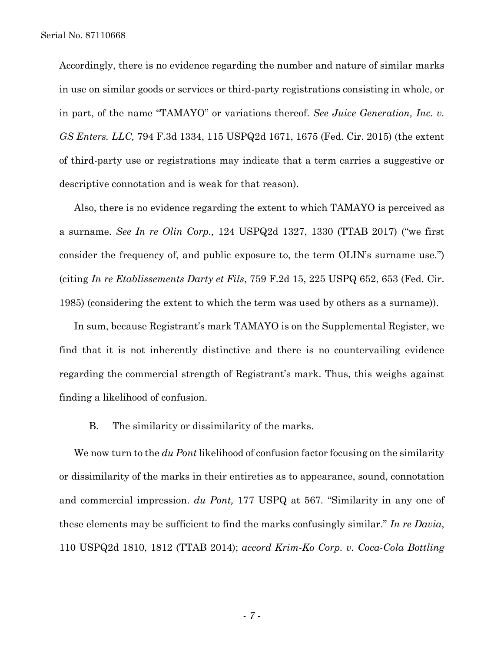Accordingly, there is no evidence regarding the number and nature of similar marks in use on similar goods or services or third-party registrations consisting in whole, or in part, of the name "TAMAYO" or variations thereof. *See Juice Generation, Inc. v. GS Enters. LLC,* 794 F.3d 1334, 115 USPQ2d 1671, 1675 (Fed. Cir. 2015) (the extent of third-party use or registrations may indicate that a term carries a suggestive or descriptive connotation and is weak for that reason).

Also, there is no evidence regarding the extent to which TAMAYO is perceived as a surname. *See In re Olin Corp.,* 124 USPQ2d 1327, 1330 (TTAB 2017) ("we first consider the frequency of, and public exposure to, the term OLIN's surname use.") (citing *In re Etablissements Darty et Fils*, 759 F.2d 15, 225 USPQ 652, 653 (Fed. Cir. 1985) (considering the extent to which the term was used by others as a surname)).

In sum, because Registrant's mark TAMAYO is on the Supplemental Register, we find that it is not inherently distinctive and there is no countervailing evidence regarding the commercial strength of Registrant's mark. Thus, this weighs against finding a likelihood of confusion.

B. The similarity or dissimilarity of the marks.

We now turn to the *du Pont* likelihood of confusion factor focusing on the similarity or dissimilarity of the marks in their entireties as to appearance, sound, connotation and commercial impression. *du Pont,* 177 USPQ at 567*.* "Similarity in any one of these elements may be sufficient to find the marks confusingly similar." *In re Davia*, 110 USPQ2d 1810, 1812 (TTAB 2014); *accord Krim-Ko Corp. v. Coca-Cola Bottling*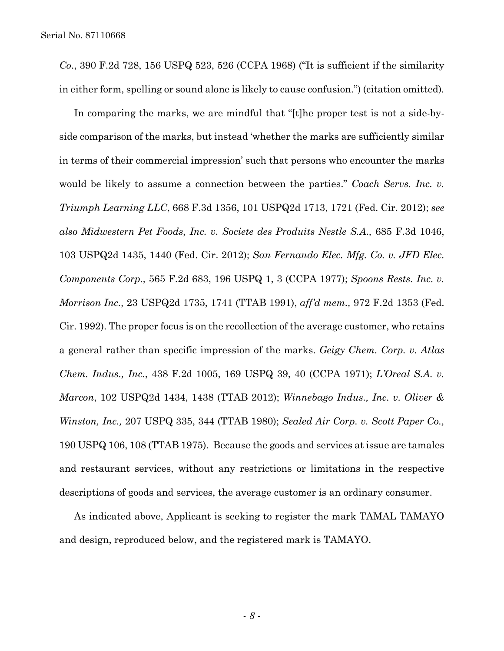*Co*., 390 F.2d 728, 156 USPQ 523, 526 (CCPA 1968) ("It is sufficient if the similarity in either form, spelling or sound alone is likely to cause confusion.") (citation omitted)*.*

In comparing the marks, we are mindful that "[t]he proper test is not a side-byside comparison of the marks, but instead 'whether the marks are sufficiently similar in terms of their commercial impression' such that persons who encounter the marks would be likely to assume a connection between the parties." *Coach Servs. Inc. v. Triumph Learning LLC*, 668 F.3d 1356, 101 USPQ2d 1713, 1721 (Fed. Cir. 2012); *see also Midwestern Pet Foods, Inc. v. Societe des Produits Nestle S.A.,* 685 F.3d 1046, 103 USPQ2d 1435, 1440 (Fed. Cir. 2012); *San Fernando Elec. Mfg. Co. v. JFD Elec. Components Corp.,* 565 F.2d 683, 196 USPQ 1, 3 (CCPA 1977); *Spoons Rests. Inc. v. Morrison Inc.,* 23 USPQ2d 1735, 1741 (TTAB 1991), *aff'd mem.,* 972 F.2d 1353 (Fed. Cir. 1992). The proper focus is on the recollection of the average customer, who retains a general rather than specific impression of the marks. *Geigy Chem. Corp. v. Atlas Chem. Indus., Inc.*, 438 F.2d 1005, 169 USPQ 39, 40 (CCPA 1971); *L'Oreal S.A. v. Marcon*, 102 USPQ2d 1434, 1438 (TTAB 2012); *Winnebago Indus., Inc. v. Oliver & Winston, Inc.,* 207 USPQ 335, 344 (TTAB 1980); *Sealed Air Corp. v. Scott Paper Co.,*  190 USPQ 106, 108 (TTAB 1975). Because the goods and services at issue are tamales and restaurant services, without any restrictions or limitations in the respective descriptions of goods and services, the average customer is an ordinary consumer.

As indicated above, Applicant is seeking to register the mark TAMAL TAMAYO and design, reproduced below, and the registered mark is TAMAYO.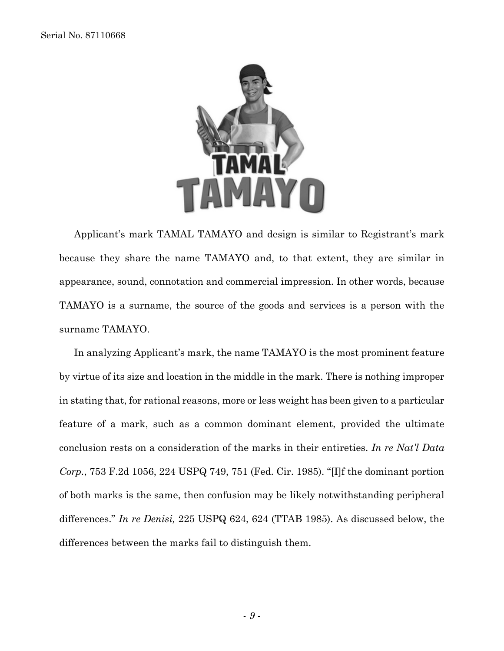

Applicant's mark TAMAL TAMAYO and design is similar to Registrant's mark because they share the name TAMAYO and, to that extent, they are similar in appearance, sound, connotation and commercial impression. In other words, because TAMAYO is a surname, the source of the goods and services is a person with the surname TAMAYO.

In analyzing Applicant's mark, the name TAMAYO is the most prominent feature by virtue of its size and location in the middle in the mark. There is nothing improper in stating that, for rational reasons, more or less weight has been given to a particular feature of a mark, such as a common dominant element, provided the ultimate conclusion rests on a consideration of the marks in their entireties. *In re Nat'l Data Corp.*, 753 F.2d 1056, 224 USPQ 749, 751 (Fed. Cir. 1985). "[I]f the dominant portion of both marks is the same, then confusion may be likely notwithstanding peripheral differences." *In re Denisi,* 225 USPQ 624, 624 (TTAB 1985). As discussed below, the differences between the marks fail to distinguish them.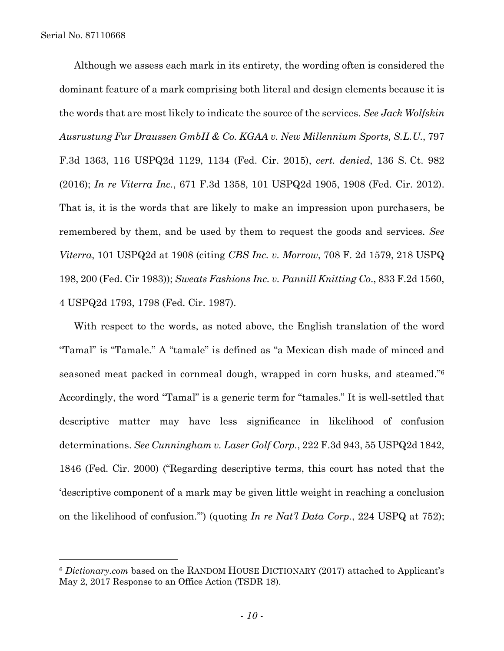1

Although we assess each mark in its entirety, the wording often is considered the dominant feature of a mark comprising both literal and design elements because it is the words that are most likely to indicate the source of the services. *See Jack Wolfskin Ausrustung Fur Draussen GmbH & Co. KGAA v. New Millennium Sports, S.L.U.*, 797 F.3d 1363, 116 USPQ2d 1129, 1134 (Fed. Cir. 2015), *cert. denied*, 136 S. Ct. 982 (2016); *In re Viterra Inc.*, 671 F.3d 1358, 101 USPQ2d 1905, 1908 (Fed. Cir. 2012). That is, it is the words that are likely to make an impression upon purchasers, be remembered by them, and be used by them to request the goods and services. *See Viterra*, 101 USPQ2d at 1908 (citing *CBS Inc. v. Morrow*, 708 F. 2d 1579, 218 USPQ 198, 200 (Fed. Cir 1983)); *Sweats Fashions Inc. v. Pannill Knitting Co*., 833 F.2d 1560, 4 USPQ2d 1793, 1798 (Fed. Cir. 1987).

With respect to the words, as noted above, the English translation of the word "Tamal" is "Tamale." A "tamale" is defined as "a Mexican dish made of minced and seasoned meat packed in cornmeal dough, wrapped in corn husks, and steamed."6 Accordingly, the word "Tamal" is a generic term for "tamales." It is well-settled that descriptive matter may have less significance in likelihood of confusion determinations. *See Cunningham v. Laser Golf Corp.*, 222 F.3d 943, 55 USPQ2d 1842, 1846 (Fed. Cir. 2000) ("Regarding descriptive terms, this court has noted that the 'descriptive component of a mark may be given little weight in reaching a conclusion on the likelihood of confusion.'") (quoting *In re Nat'l Data Corp.*, 224 USPQ at 752);

<sup>6</sup> *Dictionary.com* based on the RANDOM HOUSE DICTIONARY (2017) attached to Applicant's May 2, 2017 Response to an Office Action (TSDR 18).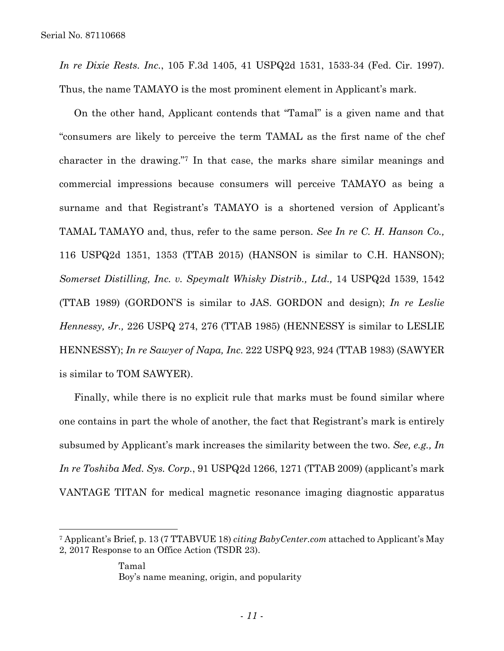1

*In re Dixie Rests. Inc.*, 105 F.3d 1405, 41 USPQ2d 1531, 1533-34 (Fed. Cir. 1997). Thus, the name TAMAYO is the most prominent element in Applicant's mark.

On the other hand, Applicant contends that "Tamal" is a given name and that "consumers are likely to perceive the term TAMAL as the first name of the chef character in the drawing."7 In that case, the marks share similar meanings and commercial impressions because consumers will perceive TAMAYO as being a surname and that Registrant's TAMAYO is a shortened version of Applicant's TAMAL TAMAYO and, thus, refer to the same person. *See In re C. H. Hanson Co.,*  116 USPQ2d 1351, 1353 (TTAB 2015) (HANSON is similar to C.H. HANSON); *Somerset Distilling, Inc. v. Speymalt Whisky Distrib., Ltd.,* 14 USPQ2d 1539, 1542 (TTAB 1989) (GORDON'S is similar to JAS. GORDON and design); *In re Leslie Hennessy, Jr.,* 226 USPQ 274, 276 (TTAB 1985) (HENNESSY is similar to LESLIE HENNESSY); *In re Sawyer of Napa, Inc.* 222 USPQ 923, 924 (TTAB 1983) (SAWYER is similar to TOM SAWYER).

Finally, while there is no explicit rule that marks must be found similar where one contains in part the whole of another, the fact that Registrant's mark is entirely subsumed by Applicant's mark increases the similarity between the two. *See, e.g., In In re Toshiba Med. Sys. Corp.*, 91 USPQ2d 1266, 1271 (TTAB 2009) (applicant's mark VANTAGE TITAN for medical magnetic resonance imaging diagnostic apparatus

<sup>7</sup> Applicant's Brief, p. 13 (7 TTABVUE 18) *citing BabyCenter.com* attached to Applicant's May 2, 2017 Response to an Office Action (TSDR 23).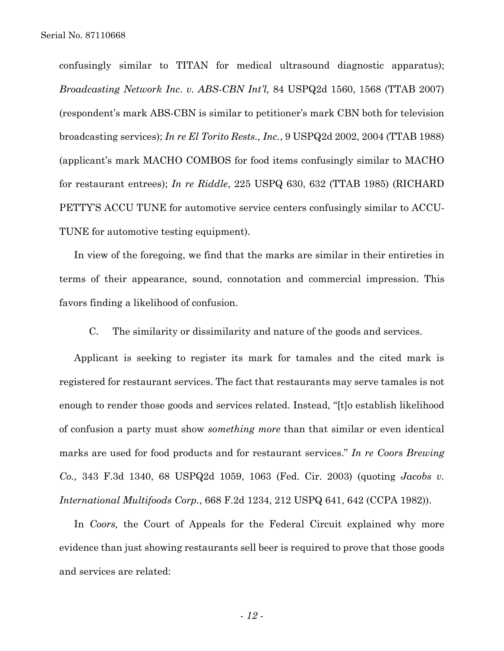confusingly similar to TITAN for medical ultrasound diagnostic apparatus); *Broadcasting Network Inc. v. ABS-CBN Int'l,* 84 USPQ2d 1560, 1568 (TTAB 2007) (respondent's mark ABS-CBN is similar to petitioner's mark CBN both for television broadcasting services); *In re El Torito Rests., Inc.*, 9 USPQ2d 2002, 2004 (TTAB 1988) (applicant's mark MACHO COMBOS for food items confusingly similar to MACHO for restaurant entrees); *In re Riddle*, 225 USPQ 630, 632 (TTAB 1985) (RICHARD PETTY'S ACCU TUNE for automotive service centers confusingly similar to ACCU-TUNE for automotive testing equipment).

In view of the foregoing, we find that the marks are similar in their entireties in terms of their appearance, sound, connotation and commercial impression. This favors finding a likelihood of confusion.

C. The similarity or dissimilarity and nature of the goods and services.

Applicant is seeking to register its mark for tamales and the cited mark is registered for restaurant services. The fact that restaurants may serve tamales is not enough to render those goods and services related. Instead, "[t]o establish likelihood of confusion a party must show *something more* than that similar or even identical marks are used for food products and for restaurant services." *In re Coors Brewing Co.,* 343 F.3d 1340, 68 USPQ2d 1059, 1063 (Fed. Cir. 2003) (quoting *Jacobs v. International Multifoods Corp.*, 668 F.2d 1234, 212 USPQ 641, 642 (CCPA 1982)).

In *Coors,* the Court of Appeals for the Federal Circuit explained why more evidence than just showing restaurants sell beer is required to prove that those goods and services are related: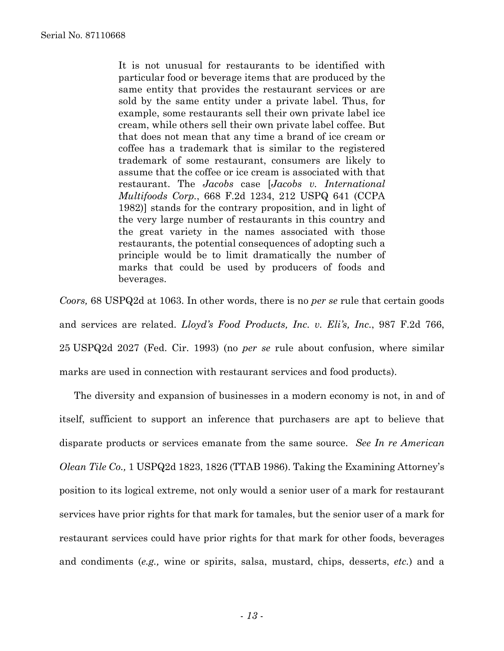It is not unusual for restaurants to be identified with particular food or beverage items that are produced by the same entity that provides the restaurant services or are sold by the same entity under a private label. Thus, for example, some restaurants sell their own private label ice cream, while others sell their own private label coffee. But that does not mean that any time a brand of ice cream or coffee has a trademark that is similar to the registered trademark of some restaurant, consumers are likely to assume that the coffee or ice cream is associated with that restaurant. The *Jacobs* case [*Jacobs v. International Multifoods Corp.*, 668 F.2d 1234, 212 USPQ 641 (CCPA 1982)] stands for the contrary proposition, and in light of the very large number of restaurants in this country and the great variety in the names associated with those restaurants, the potential consequences of adopting such a principle would be to limit dramatically the number of marks that could be used by producers of foods and beverages.

*Coors,* 68 USPQ2d at 1063. In other words, there is no *per se* rule that certain goods and services are related. *Lloyd's Food Products, Inc. v. Eli's, Inc.*, 987 F.2d 766, 25 USPQ2d 2027 (Fed. Cir. 1993) (no *per se* rule about confusion, where similar marks are used in connection with restaurant services and food products).

The diversity and expansion of businesses in a modern economy is not, in and of itself, sufficient to support an inference that purchasers are apt to believe that disparate products or services emanate from the same source. *See In re American Olean Tile Co.,* 1 USPQ2d 1823, 1826 (TTAB 1986). Taking the Examining Attorney's position to its logical extreme, not only would a senior user of a mark for restaurant services have prior rights for that mark for tamales, but the senior user of a mark for restaurant services could have prior rights for that mark for other foods, beverages and condiments (*e.g.,* wine or spirits, salsa, mustard, chips, desserts, *etc.*) and a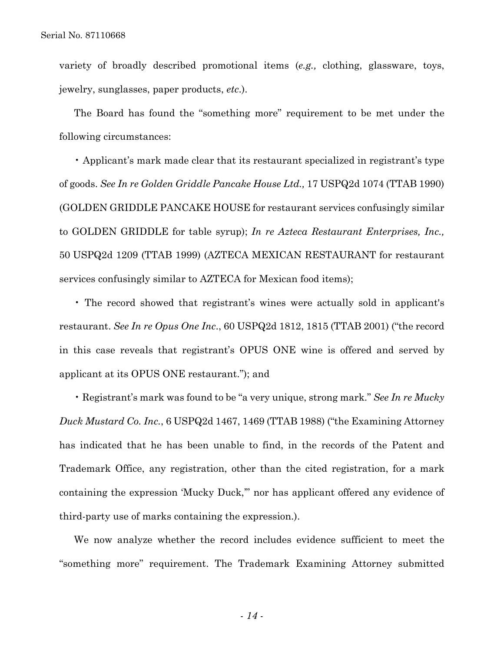variety of broadly described promotional items (*e.g.,* clothing, glassware, toys, jewelry, sunglasses, paper products, *etc*.).

The Board has found the "something more" requirement to be met under the following circumstances:

• Applicant's mark made clear that its restaurant specialized in registrant's type of goods. *See In re Golden Griddle Pancake House Ltd.,* 17 USPQ2d 1074 (TTAB 1990) (GOLDEN GRIDDLE PANCAKE HOUSE for restaurant services confusingly similar to GOLDEN GRIDDLE for table syrup); *In re Azteca Restaurant Enterprises, Inc.,*  50 USPQ2d 1209 (TTAB 1999) (AZTECA MEXICAN RESTAURANT for restaurant services confusingly similar to AZTECA for Mexican food items);

• The record showed that registrant's wines were actually sold in applicant's restaurant. *See In re Opus One Inc*., 60 USPQ2d 1812, 1815 (TTAB 2001) ("the record in this case reveals that registrant's OPUS ONE wine is offered and served by applicant at its OPUS ONE restaurant."); and

• Registrant's mark was found to be "a very unique, strong mark." *See In re Mucky Duck Mustard Co. Inc.*, 6 USPQ2d 1467, 1469 (TTAB 1988) ("the Examining Attorney has indicated that he has been unable to find, in the records of the Patent and Trademark Office, any registration, other than the cited registration, for a mark containing the expression 'Mucky Duck,'" nor has applicant offered any evidence of third-party use of marks containing the expression.).

We now analyze whether the record includes evidence sufficient to meet the "something more" requirement. The Trademark Examining Attorney submitted

- *14* -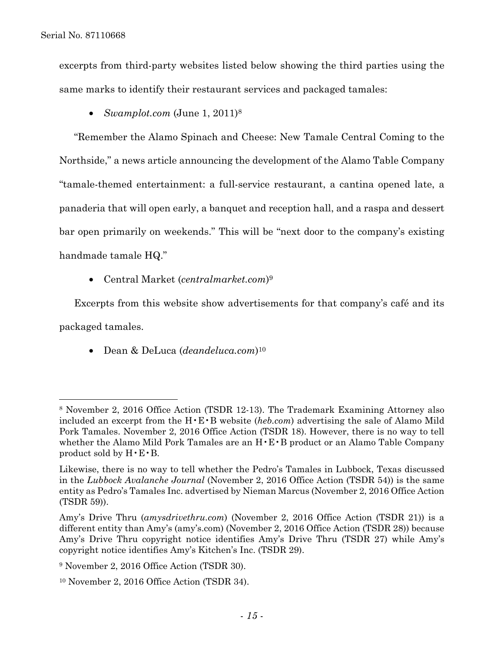$\overline{a}$ 

excerpts from third-party websites listed below showing the third parties using the same marks to identify their restaurant services and packaged tamales:

• *Swamplot.com* (June 1, 2011)<sup>8</sup>

"Remember the Alamo Spinach and Cheese: New Tamale Central Coming to the Northside," a news article announcing the development of the Alamo Table Company "tamale-themed entertainment: a full-service restaurant, a cantina opened late, a panaderia that will open early, a banquet and reception hall, and a raspa and dessert bar open primarily on weekends." This will be "next door to the company's existing handmade tamale HQ."

• Central Market (*centralmarket.com*)9

Excerpts from this website show advertisements for that company's café and its packaged tamales.

• Dean & DeLuca (*deandeluca.com*)10

<sup>8</sup> November 2, 2016 Office Action (TSDR 12-13). The Trademark Examining Attorney also included an excerpt from the H•E•B website (*heb.com*) advertising the sale of Alamo Mild Pork Tamales. November 2, 2016 Office Action (TSDR 18). However, there is no way to tell whether the Alamo Mild Pork Tamales are an H•E•B product or an Alamo Table Company product sold by  $H \cdot E \cdot B$ .

Likewise, there is no way to tell whether the Pedro's Tamales in Lubbock, Texas discussed in the *Lubbock Avalanche Journal* (November 2, 2016 Office Action (TSDR 54)) is the same entity as Pedro's Tamales Inc. advertised by Nieman Marcus (November 2, 2016 Office Action (TSDR 59)).

Amy's Drive Thru (*amysdrivethru.com*) (November 2, 2016 Office Action (TSDR 21)) is a different entity than Amy's (amy's.com) (November 2, 2016 Office Action (TSDR 28)) because Amy's Drive Thru copyright notice identifies Amy's Drive Thru (TSDR 27) while Amy's copyright notice identifies Amy's Kitchen's Inc. (TSDR 29).

<sup>9</sup> November 2, 2016 Office Action (TSDR 30).

<sup>10</sup> November 2, 2016 Office Action (TSDR 34).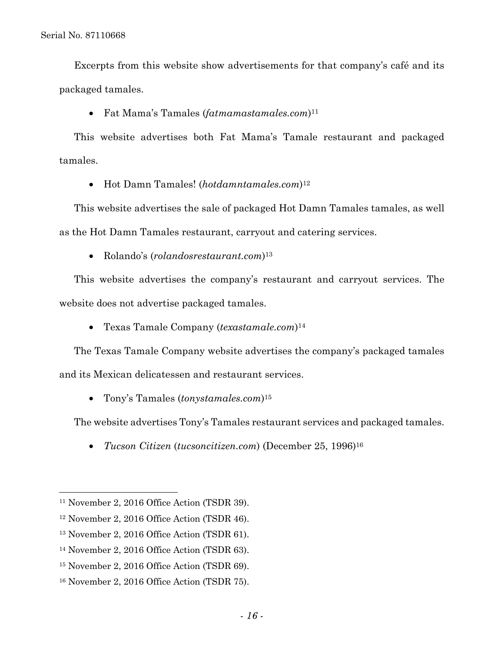Excerpts from this website show advertisements for that company's café and its packaged tamales.

• Fat Mama's Tamales (*fatmamastamales.com*)11

This website advertises both Fat Mama's Tamale restaurant and packaged tamales.

• Hot Damn Tamales! (*hotdamntamales.com*)12

This website advertises the sale of packaged Hot Damn Tamales tamales, as well as the Hot Damn Tamales restaurant, carryout and catering services.

• Rolando's (*rolandosrestaurant.com*)13

This website advertises the company's restaurant and carryout services. The website does not advertise packaged tamales.

• Texas Tamale Company (*texastamale.com*)14

The Texas Tamale Company website advertises the company's packaged tamales and its Mexican delicatessen and restaurant services.

• Tony's Tamales (*tonystamales.com*)15

The website advertises Tony's Tamales restaurant services and packaged tamales.

• *Tucson Citizen* (*tucsoncitizen.com*) (December 25, 1996)16

1

<sup>11</sup> November 2, 2016 Office Action (TSDR 39).

<sup>12</sup> November 2, 2016 Office Action (TSDR 46).

<sup>13</sup> November 2, 2016 Office Action (TSDR 61).

<sup>14</sup> November 2, 2016 Office Action (TSDR 63).

<sup>15</sup> November 2, 2016 Office Action (TSDR 69).

<sup>16</sup> November 2, 2016 Office Action (TSDR 75).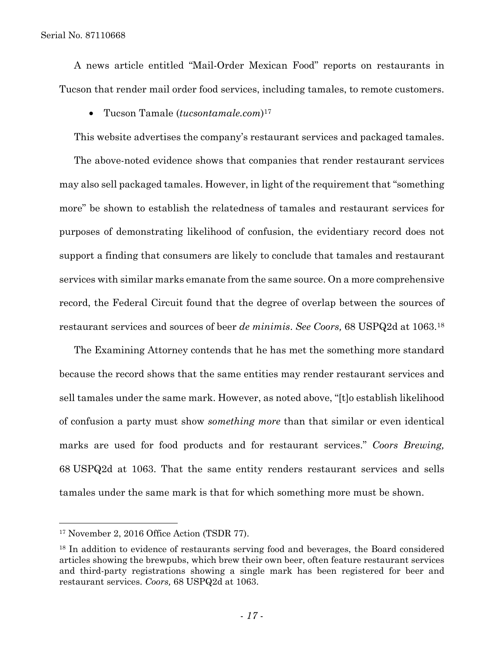A news article entitled "Mail-Order Mexican Food" reports on restaurants in Tucson that render mail order food services, including tamales, to remote customers.

• Tucson Tamale (*tucsontamale.com*)17

This website advertises the company's restaurant services and packaged tamales.

The above-noted evidence shows that companies that render restaurant services may also sell packaged tamales. However, in light of the requirement that "something more" be shown to establish the relatedness of tamales and restaurant services for purposes of demonstrating likelihood of confusion, the evidentiary record does not support a finding that consumers are likely to conclude that tamales and restaurant services with similar marks emanate from the same source. On a more comprehensive record, the Federal Circuit found that the degree of overlap between the sources of restaurant services and sources of beer *de minimis*. *See Coors,* 68 USPQ2d at 1063.18

The Examining Attorney contends that he has met the something more standard because the record shows that the same entities may render restaurant services and sell tamales under the same mark. However, as noted above, "[t]o establish likelihood of confusion a party must show *something more* than that similar or even identical marks are used for food products and for restaurant services." *Coors Brewing,*  68 USPQ2d at 1063. That the same entity renders restaurant services and sells tamales under the same mark is that for which something more must be shown.

1

<sup>17</sup> November 2, 2016 Office Action (TSDR 77).

<sup>18</sup> In addition to evidence of restaurants serving food and beverages, the Board considered articles showing the brewpubs, which brew their own beer, often feature restaurant services and third-party registrations showing a single mark has been registered for beer and restaurant services. *Coors,* 68 USPQ2d at 1063.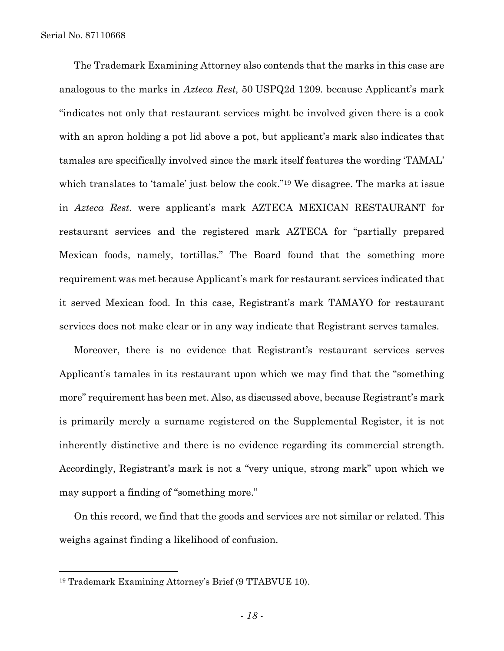The Trademark Examining Attorney also contends that the marks in this case are analogous to the marks in *Azteca Rest,* 50 USPQ2d 1209*.* because Applicant's mark "indicates not only that restaurant services might be involved given there is a cook with an apron holding a pot lid above a pot, but applicant's mark also indicates that tamales are specifically involved since the mark itself features the wording 'TAMAL' which translates to 'tamale' just below the cook."<sup>19</sup> We disagree. The marks at issue in *Azteca Rest.* were applicant's mark AZTECA MEXICAN RESTAURANT for restaurant services and the registered mark AZTECA for "partially prepared Mexican foods, namely, tortillas." The Board found that the something more requirement was met because Applicant's mark for restaurant services indicated that it served Mexican food. In this case, Registrant's mark TAMAYO for restaurant services does not make clear or in any way indicate that Registrant serves tamales.

Moreover, there is no evidence that Registrant's restaurant services serves Applicant's tamales in its restaurant upon which we may find that the "something more" requirement has been met. Also, as discussed above, because Registrant's mark is primarily merely a surname registered on the Supplemental Register, it is not inherently distinctive and there is no evidence regarding its commercial strength. Accordingly, Registrant's mark is not a "very unique, strong mark" upon which we may support a finding of "something more."

On this record, we find that the goods and services are not similar or related. This weighs against finding a likelihood of confusion.

 $\overline{a}$ 

<sup>19</sup> Trademark Examining Attorney's Brief (9 TTABVUE 10).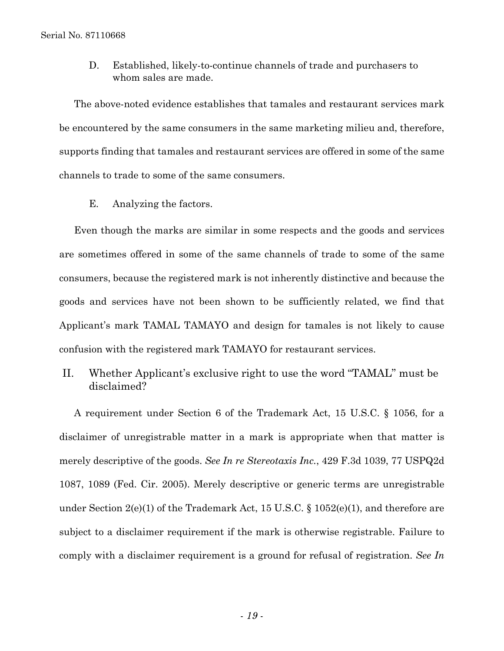D. Established, likely-to-continue channels of trade and purchasers to whom sales are made.

The above-noted evidence establishes that tamales and restaurant services mark be encountered by the same consumers in the same marketing milieu and, therefore, supports finding that tamales and restaurant services are offered in some of the same channels to trade to some of the same consumers.

E. Analyzing the factors.

Even though the marks are similar in some respects and the goods and services are sometimes offered in some of the same channels of trade to some of the same consumers, because the registered mark is not inherently distinctive and because the goods and services have not been shown to be sufficiently related, we find that Applicant's mark TAMAL TAMAYO and design for tamales is not likely to cause confusion with the registered mark TAMAYO for restaurant services.

II. Whether Applicant's exclusive right to use the word "TAMAL" must be disclaimed?

A requirement under Section 6 of the Trademark Act, 15 U.S.C. § 1056, for a disclaimer of unregistrable matter in a mark is appropriate when that matter is merely descriptive of the goods. *See In re Stereotaxis Inc.*, 429 F.3d 1039, 77 USPQ2d 1087, 1089 (Fed. Cir. 2005). Merely descriptive or generic terms are unregistrable under Section  $2(e)(1)$  of the Trademark Act, 15 U.S.C. § 1052(e)(1), and therefore are subject to a disclaimer requirement if the mark is otherwise registrable. Failure to comply with a disclaimer requirement is a ground for refusal of registration. *See In*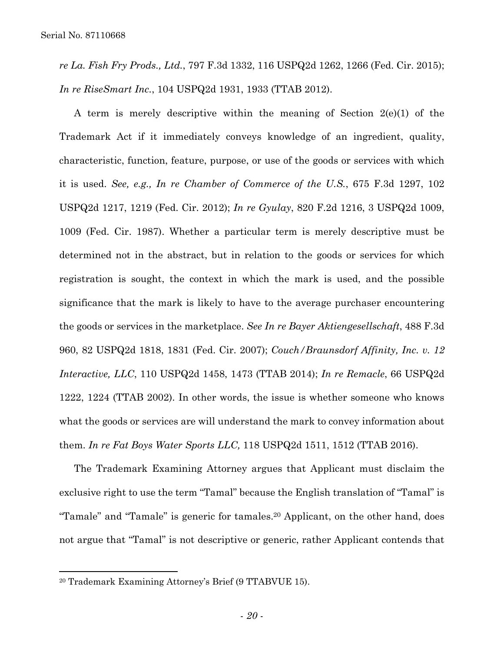*re La. Fish Fry Prods., Ltd.*, 797 F.3d 1332, 116 USPQ2d 1262, 1266 (Fed. Cir. 2015); *In re RiseSmart Inc.*, 104 USPQ2d 1931, 1933 (TTAB 2012).

A term is merely descriptive within the meaning of Section 2(e)(1) of the Trademark Act if it immediately conveys knowledge of an ingredient, quality, characteristic, function, feature, purpose, or use of the goods or services with which it is used. *See, e.g., In re Chamber of Commerce of the U.S.*, 675 F.3d 1297, 102 USPQ2d 1217, 1219 (Fed. Cir. 2012); *In re Gyulay*, 820 F.2d 1216, 3 USPQ2d 1009, 1009 (Fed. Cir. 1987). Whether a particular term is merely descriptive must be determined not in the abstract, but in relation to the goods or services for which registration is sought, the context in which the mark is used, and the possible significance that the mark is likely to have to the average purchaser encountering the goods or services in the marketplace. *See In re Bayer Aktiengesellschaft*, 488 F.3d 960, 82 USPQ2d 1818, 1831 (Fed. Cir. 2007); *Couch/Braunsdorf Affinity, Inc. v. 12 Interactive, LLC*, 110 USPQ2d 1458, 1473 (TTAB 2014); *In re Remacle*, 66 USPQ2d 1222, 1224 (TTAB 2002). In other words, the issue is whether someone who knows what the goods or services are will understand the mark to convey information about them. *In re Fat Boys Water Sports LLC,* 118 USPQ2d 1511, 1512 (TTAB 2016).

The Trademark Examining Attorney argues that Applicant must disclaim the exclusive right to use the term "Tamal" because the English translation of "Tamal" is "Tamale" and "Tamale" is generic for tamales.20 Applicant, on the other hand, does not argue that "Tamal" is not descriptive or generic, rather Applicant contends that

 $\overline{a}$ 

<sup>20</sup> Trademark Examining Attorney's Brief (9 TTABVUE 15).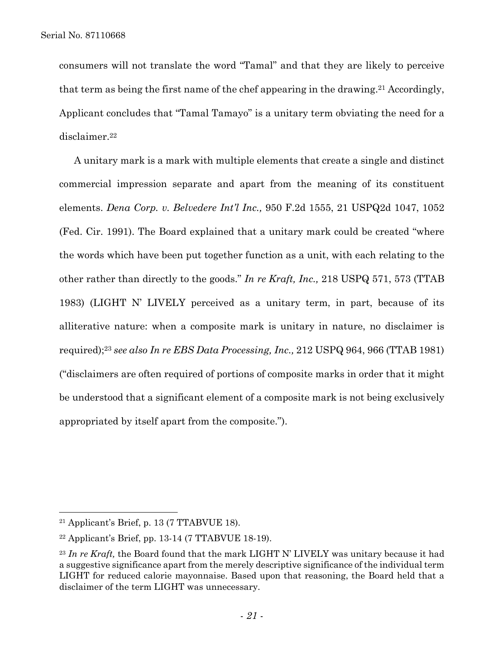consumers will not translate the word "Tamal" and that they are likely to perceive that term as being the first name of the chef appearing in the drawing.21 Accordingly, Applicant concludes that "Tamal Tamayo" is a unitary term obviating the need for a disclaimer.22

A unitary mark is a mark with multiple elements that create a single and distinct commercial impression separate and apart from the meaning of its constituent elements. *Dena Corp. v. Belvedere Int'l Inc.,* 950 F.2d 1555, 21 USPQ2d 1047, 1052 (Fed. Cir. 1991). The Board explained that a unitary mark could be created "where the words which have been put together function as a unit, with each relating to the other rather than directly to the goods." *In re Kraft, Inc.,* 218 USPQ 571, 573 (TTAB 1983) (LIGHT N' LIVELY perceived as a unitary term, in part, because of its alliterative nature: when a composite mark is unitary in nature, no disclaimer is required);23 *see also In re EBS Data Processing, Inc.,* 212 USPQ 964, 966 (TTAB 1981) ("disclaimers are often required of portions of composite marks in order that it might be understood that a significant element of a composite mark is not being exclusively appropriated by itself apart from the composite.").

1

 $21$  Applicant's Brief, p. 13 (7 TTABVUE 18).

 $22$  Applicant's Brief, pp. 13-14 (7 TTABVUE 18-19).

<sup>23</sup> *In re Kraft,* the Board found that the mark LIGHT N' LIVELY was unitary because it had a suggestive significance apart from the merely descriptive significance of the individual term LIGHT for reduced calorie mayonnaise. Based upon that reasoning, the Board held that a disclaimer of the term LIGHT was unnecessary.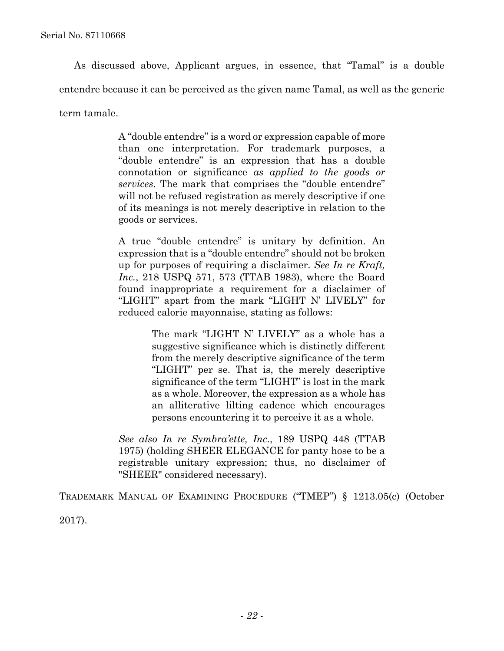As discussed above, Applicant argues, in essence, that "Tamal" is a double entendre because it can be perceived as the given name Tamal, as well as the generic term tamale.

> A "double entendre" is a word or expression capable of more than one interpretation. For trademark purposes, a "double entendre" is an expression that has a double connotation or significance *as applied to the goods or services*. The mark that comprises the "double entendre" will not be refused registration as merely descriptive if one of its meanings is not merely descriptive in relation to the goods or services.

> A true "double entendre" is unitary by definition. An expression that is a "double entendre" should not be broken up for purposes of requiring a disclaimer. *See In re Kraft, Inc.*, 218 USPQ 571, 573 (TTAB 1983), where the Board found inappropriate a requirement for a disclaimer of "LIGHT" apart from the mark "LIGHT N' LIVELY" for reduced calorie mayonnaise, stating as follows:

> > The mark "LIGHT N' LIVELY" as a whole has a suggestive significance which is distinctly different from the merely descriptive significance of the term "LIGHT" per se. That is, the merely descriptive significance of the term "LIGHT" is lost in the mark as a whole. Moreover, the expression as a whole has an alliterative lilting cadence which encourages persons encountering it to perceive it as a whole.

*See also In re Symbra'ette, Inc.*, 189 USPQ 448 (TTAB 1975) (holding SHEER ELEGANCE for panty hose to be a registrable unitary expression; thus, no disclaimer of "SHEER" considered necessary).

TRADEMARK MANUAL OF EXAMINING PROCEDURE ("TMEP") § 1213.05(c) (October

2017).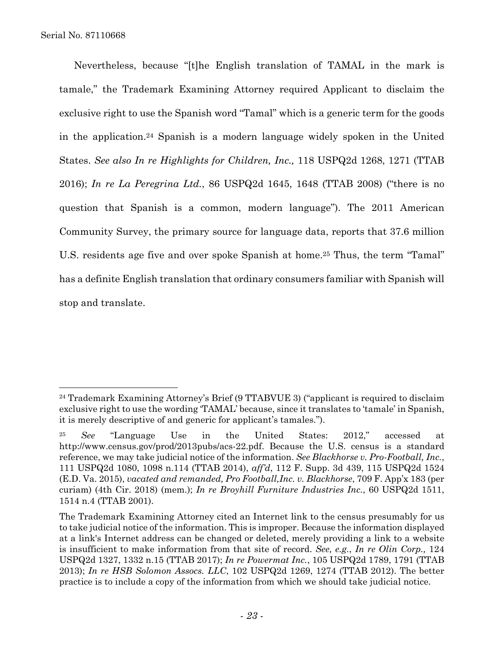$\overline{a}$ 

Nevertheless, because "[t]he English translation of TAMAL in the mark is tamale," the Trademark Examining Attorney required Applicant to disclaim the exclusive right to use the Spanish word "Tamal" which is a generic term for the goods in the application.24 Spanish is a modern language widely spoken in the United States. *See also In re Highlights for Children, Inc.,* 118 USPQ2d 1268, 1271 (TTAB 2016); *In re La Peregrina Ltd.*, 86 USPQ2d 1645, 1648 (TTAB 2008) ("there is no question that Spanish is a common, modern language"). The 2011 American Community Survey, the primary source for language data, reports that 37.6 million U.S. residents age five and over spoke Spanish at home.<sup>25</sup> Thus, the term "Tamal" has a definite English translation that ordinary consumers familiar with Spanish will stop and translate.

<sup>&</sup>lt;sup>24</sup> Trademark Examining Attorney's Brief (9 TTABVUE 3) ("applicant is required to disclaim exclusive right to use the wording 'TAMAL' because, since it translates to 'tamale' in Spanish, it is merely descriptive of and generic for applicant's tamales.").

<sup>25</sup> *See* "Language Use in the United States: 2012," accessed at http://www.census.gov/prod/2013pubs/acs-22.pdf. Because the U.S. census is a standard reference, we may take judicial notice of the information. *See Blackhorse v. Pro-Football, Inc.*, 111 USPQ2d 1080, 1098 n.114 (TTAB 2014), *aff'd*, 112 F. Supp. 3d 439, 115 USPQ2d 1524 (E.D. Va. 2015), *vacated and remanded, Pro Football,Inc. v. Blackhorse*, 709 F. App'x 183 (per curiam) (4th Cir. 2018) (mem.); *In re Broyhill Furniture Industries Inc.*, 60 USPQ2d 1511, 1514 n.4 (TTAB 2001).

The Trademark Examining Attorney cited an Internet link to the census presumably for us to take judicial notice of the information. This is improper. Because the information displayed at a link's Internet address can be changed or deleted, merely providing a link to a website is insufficient to make information from that site of record. *See, e.g.*, *In re Olin Corp.,* 124 USPQ2d 1327, 1332 n.15 (TTAB 2017); *In re Powermat Inc.*, 105 USPQ2d 1789, 1791 (TTAB 2013); *In re HSB Solomon Assocs. LLC*, 102 USPQ2d 1269, 1274 (TTAB 2012). The better practice is to include a copy of the information from which we should take judicial notice.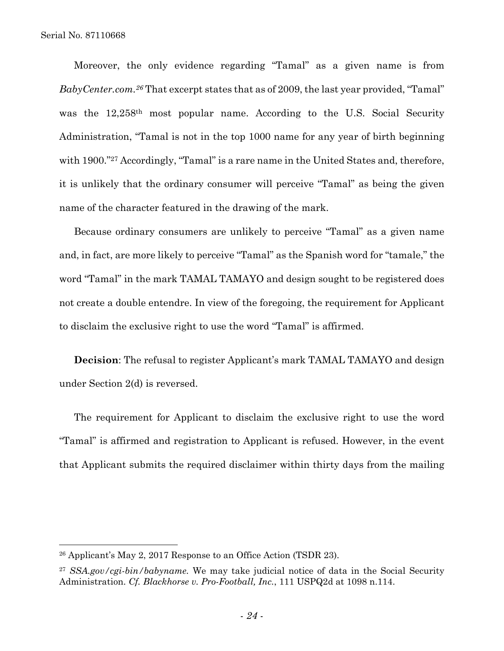l

Moreover, the only evidence regarding "Tamal" as a given name is from *BabyCenter.com.26* That excerpt states that as of 2009, the last year provided, "Tamal" was the 12,258th most popular name. According to the U.S. Social Security Administration, "Tamal is not in the top 1000 name for any year of birth beginning with 1900."<sup>27</sup> Accordingly, "Tamal" is a rare name in the United States and, therefore, it is unlikely that the ordinary consumer will perceive "Tamal" as being the given name of the character featured in the drawing of the mark.

Because ordinary consumers are unlikely to perceive "Tamal" as a given name and, in fact, are more likely to perceive "Tamal" as the Spanish word for "tamale," the word "Tamal" in the mark TAMAL TAMAYO and design sought to be registered does not create a double entendre. In view of the foregoing, the requirement for Applicant to disclaim the exclusive right to use the word "Tamal" is affirmed.

**Decision**: The refusal to register Applicant's mark TAMAL TAMAYO and design under Section 2(d) is reversed.

The requirement for Applicant to disclaim the exclusive right to use the word "Tamal" is affirmed and registration to Applicant is refused. However, in the event that Applicant submits the required disclaimer within thirty days from the mailing

<sup>26</sup> Applicant's May 2, 2017 Response to an Office Action (TSDR 23).

<sup>27</sup> *SSA.gov/cgi-bin/babyname.* We may take judicial notice of data in the Social Security Administration. *Cf. Blackhorse v. Pro-Football, Inc.*, 111 USPQ2d at 1098 n.114.